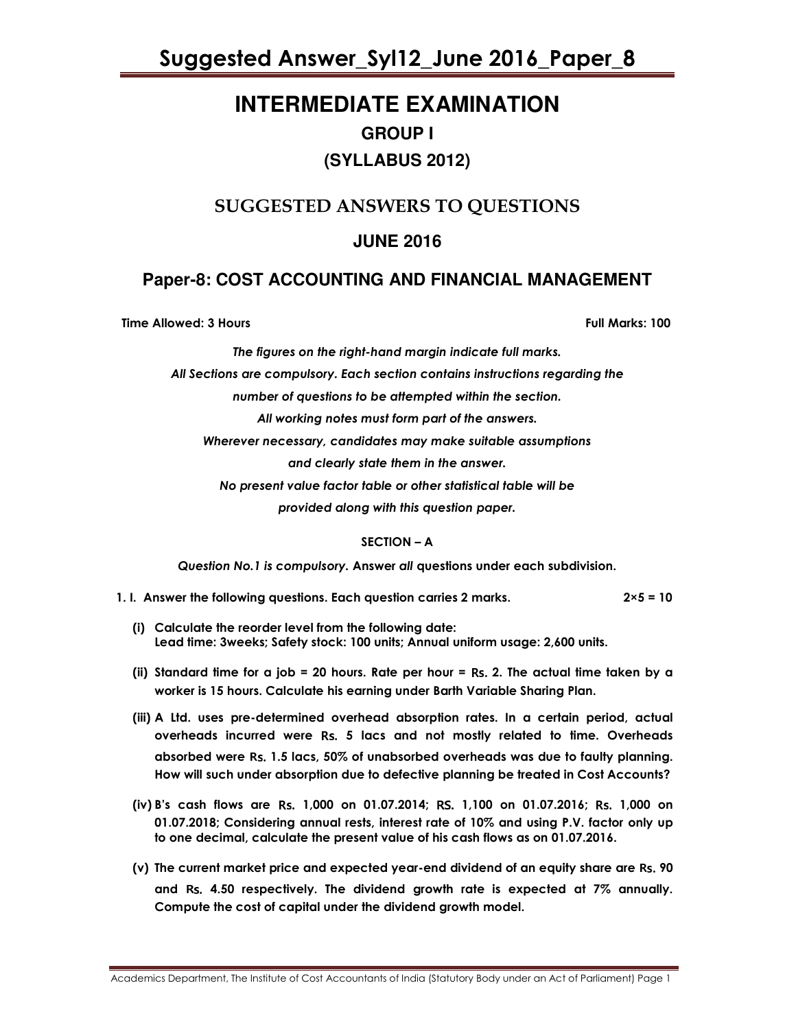## **INTERMEDIATE EXAMINATION GROUP I (SYLLABUS 2012)**

## SUGGESTED ANSWERS TO QUESTIONS

## **JUNE 2016**

### **Paper-8: COST ACCOUNTING AND FINANCIAL MANAGEMENT**

Time Allowed: 3 Hours Full Marks: 100

The figures on the right-hand margin indicate full marks.

All Sections are compulsory. Each section contains instructions regarding the

number of questions to be attempted within the section.

All working notes must form part of the answers.

Wherever necessary, candidates may make suitable assumptions

and clearly state them in the answer.

No present value factor table or other statistical table will be

provided along with this question paper.

### SECTION – A

Question No.1 is compulsory. Answer all questions under each subdivision.

- 1. I. Answer the following questions. Each question carries 2 marks.  $2 \times 5 = 10$ 
	- (i) Calculate the reorder level from the following date: Lead time: 3weeks; Safety stock: 100 units; Annual uniform usage: 2,600 units.
	- (ii) Standard time for a job = 20 hours. Rate per hour = Rs. 2. The actual time taken by a worker is 15 hours. Calculate his earning under Barth Variable Sharing Plan.
	- (iii) A Ltd. uses pre-determined overhead absorption rates. In a certain period, actual overheads incurred were Rs. 5 lacs and not mostly related to time. Overheads absorbed were Rs. 1.5 lacs, 50% of unabsorbed overheads was due to faulty planning. How will such under absorption due to defective planning be treated in Cost Accounts?
	- (iv) B's cash flows are Rs. 1,000 on 01.07.2014; RS. 1,100 on 01.07.2016; Rs. 1,000 on 01.07.2018; Considering annual rests, interest rate of 10% and using P.V. factor only up to one decimal, calculate the present value of his cash flows as on 01.07.2016.
	- (v) The current market price and expected year-end dividend of an equity share are Rs. 90 and Rs. 4.50 respectively. The dividend growth rate is expected at 7% annually. Compute the cost of capital under the dividend growth model.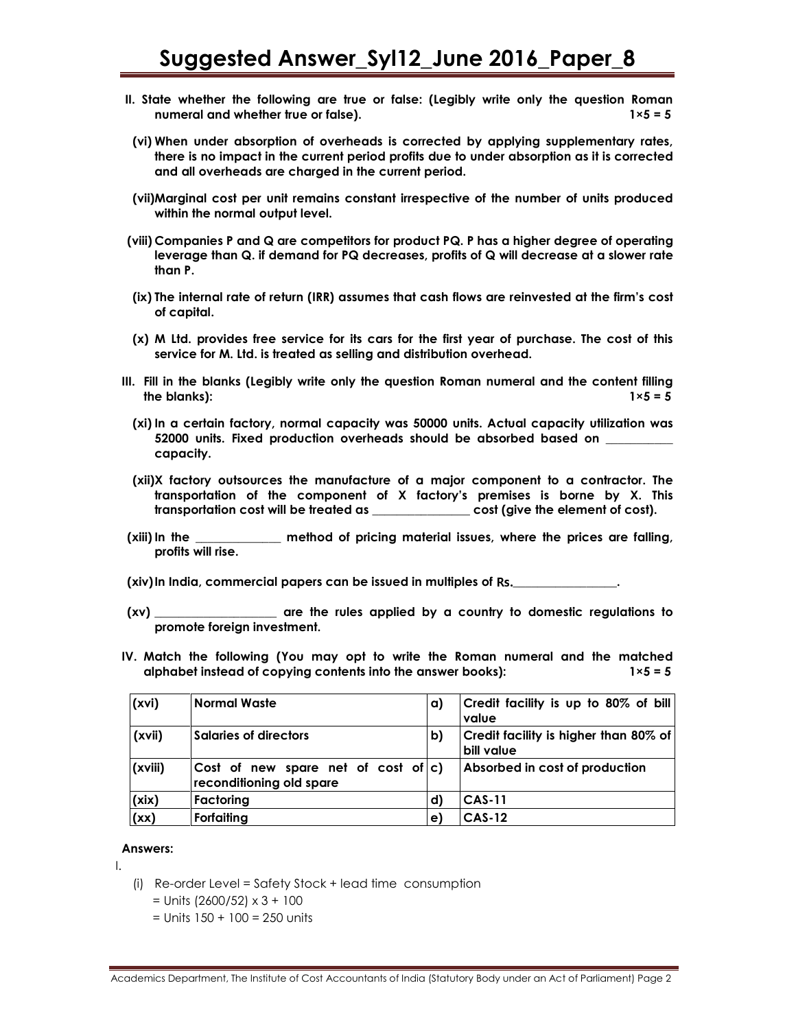- II. State whether the following are true or false: (Legibly write only the question Roman numeral and whether true or false).  $1 \times 5 = 5$
- (vi) When under absorption of overheads is corrected by applying supplementary rates, there is no impact in the current period profits due to under absorption as it is corrected and all overheads are charged in the current period.
- (vii)Marginal cost per unit remains constant irrespective of the number of units produced within the normal output level.
- (viii) Companies P and Q are competitors for product PQ. P has a higher degree of operating leverage than Q. if demand for PQ decreases, profits of Q will decrease at a slower rate than P.
- (ix) The internal rate of return (IRR) assumes that cash flows are reinvested at the firm's cost of capital.
- (x) M Ltd. provides free service for its cars for the first year of purchase. The cost of this service for M. Ltd. is treated as selling and distribution overhead.
- III. Fill in the blanks (Legibly write only the question Roman numeral and the content filling the blanks):  $1\times 5 = 5$ 
	- (xi) In a certain factory, normal capacity was 50000 units. Actual capacity utilization was 52000 units. Fixed production overheads should be absorbed based on \_\_\_\_\_\_\_\_\_\_\_ capacity.
	- (xii)X factory outsources the manufacture of a major component to a contractor. The transportation of the component of X factory's premises is borne by X. This transportation cost will be treated as \_\_\_\_\_\_\_\_\_\_\_\_\_\_\_\_ cost (give the element of cost).
- (xiii) In the \_\_\_\_\_\_\_\_\_\_\_\_\_\_ method of pricing material issues, where the prices are falling, profits will rise.

 $(xiv)$  In India, commercial papers can be issued in multiples of Rs.

- (xv) \_\_\_\_\_\_\_\_\_\_\_\_\_\_\_\_\_\_\_\_ are the rules applied by a country to domestic regulations to promote foreign investment.
- IV. Match the following (You may opt to write the Roman numeral and the matched alphabet instead of copying contents into the answer books):  $1 \times 5 = 5$

| (xvi)   | <b>Normal Waste</b>                                                | a) | Credit facility is up to 80% of bill<br>value       |
|---------|--------------------------------------------------------------------|----|-----------------------------------------------------|
| (xvii)  | <b>Salaries of directors</b>                                       | b) | Credit facility is higher than 80% of<br>bill value |
| (xviii) | Cost of new spare net of cost of $ c $<br>reconditioning old spare |    | Absorbed in cost of production                      |
| (xix)   | Factoring                                                          | d) | <b>CAS-11</b>                                       |
| (xx)    | Forfaiting                                                         | e) | <b>CAS-12</b>                                       |

### Answers:

I.

- (i) Re-order Level = Safety Stock + lead time consumption
	- $=$  Units (2600/52)  $\times$  3 + 100
	- $=$  Units 150 + 100 = 250 units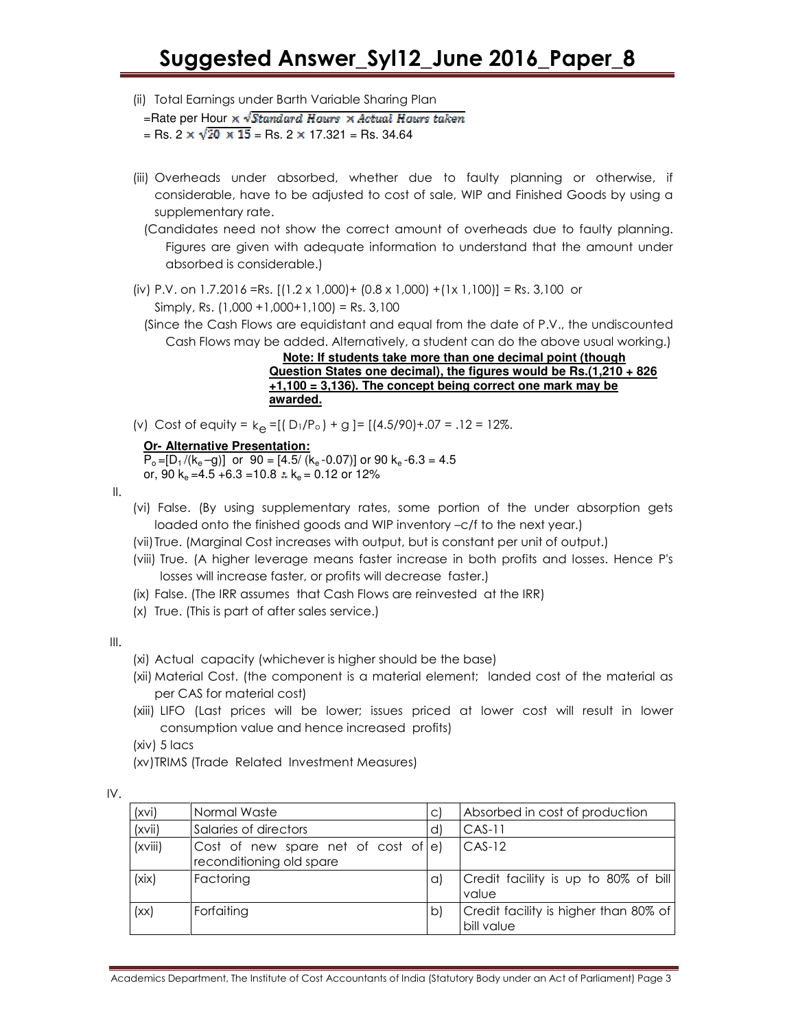(ii) Total Earnings under Barth Variable Sharing Plan

=Rate per Hour  $\times \sqrt{Standard\; Hours} \times Actual\; Hours\; taken$ = Rs. 2  $\times \sqrt{20 \times 15}$  = Rs. 2  $\times$  17.321 = Rs. 34.64

- (iii) Overheads under absorbed, whether due to faulty planning or otherwise, if considerable, have to be adjusted to cost of sale, WIP and Finished Goods by using a supplementary rate.
	- (Candidates need not show the correct amount of overheads due to faulty planning. Figures are given with adequate information to understand that the amount under absorbed is considerable.)
- (iv) P.V. on 1.7.2016 =Rs.  $[(1.2 \times 1.000) + (0.8 \times 1.000) + (1 \times 1.100)] =$  Rs. 3.100 or Simply, Rs.  $(1,000 + 1,000 + 1,100) =$  Rs. 3,100
	- (Since the Cash Flows are equidistant and equal from the date of P.V., the undiscounted Cash Flows may be added. Alternatively, a student can do the above usual working.)

 **Note: If students take more than one decimal point (though Question States one decimal), the figures would be Rs.(1,210 + 826 +1,100 = 3,136). The concept being correct one mark may be awarded.** 

(v) Cost of equity =  $k_e = [(D_1/P_0) + g] = [(4.5/90) + .07 = .12 = 12\%].$ 

### **Or- Alternative Presentation:**

 $P_0 = [D_1/(k_e - g)]$  or 90 = [4.5/ (k<sub>e</sub> -0.07)] or 90 k<sub>e</sub> -6.3 = 4.5 or, 90 k<sub>e</sub> = 4.5 + 6.3 = 10.8  $\therefore$  k<sub>e</sub> = 0.12 or 12%

- II.
- (vi) False. (By using supplementary rates, some portion of the under absorption gets loaded onto the finished goods and WIP inventory –c/f to the next year.)
- (vii) True. (Marginal Cost increases with output, but is constant per unit of output.)
- (viii) True. (A higher leverage means faster increase in both profits and losses. Hence P's losses will increase faster, or profits will decrease faster.)
- (ix) False. (The IRR assumes that Cash Flows are reinvested at the IRR)
- (x) True. (This is part of after sales service.)

III.

- (xi) Actual capacity (whichever is higher should be the base)
- (xii) Material Cost. (the component is a material element; landed cost of the material as per CAS for material cost)
- (xiii) LIFO (Last prices will be lower; issues priced at lower cost will result in lower consumption value and hence increased profits)
- (xiv) 5 lacs
- (xv)TRIMS (Trade Related Investment Measures)

| (xvi)   | Normal Waste                                                       | $\mathsf{C}$ | Absorbed in cost of production                      |
|---------|--------------------------------------------------------------------|--------------|-----------------------------------------------------|
| (xvii)  | Salaries of directors                                              | d)           | $CAS-11$                                            |
| (xviii) | Cost of new spare net of cost of $ e $<br>reconditioning old spare |              | $CAS-12$                                            |
| (xix)   | Factoring                                                          | a)           | Credit facility is up to 80% of bill<br>value       |
| (xx)    | Forfaiting                                                         | b)           | Credit facility is higher than 80% of<br>bill value |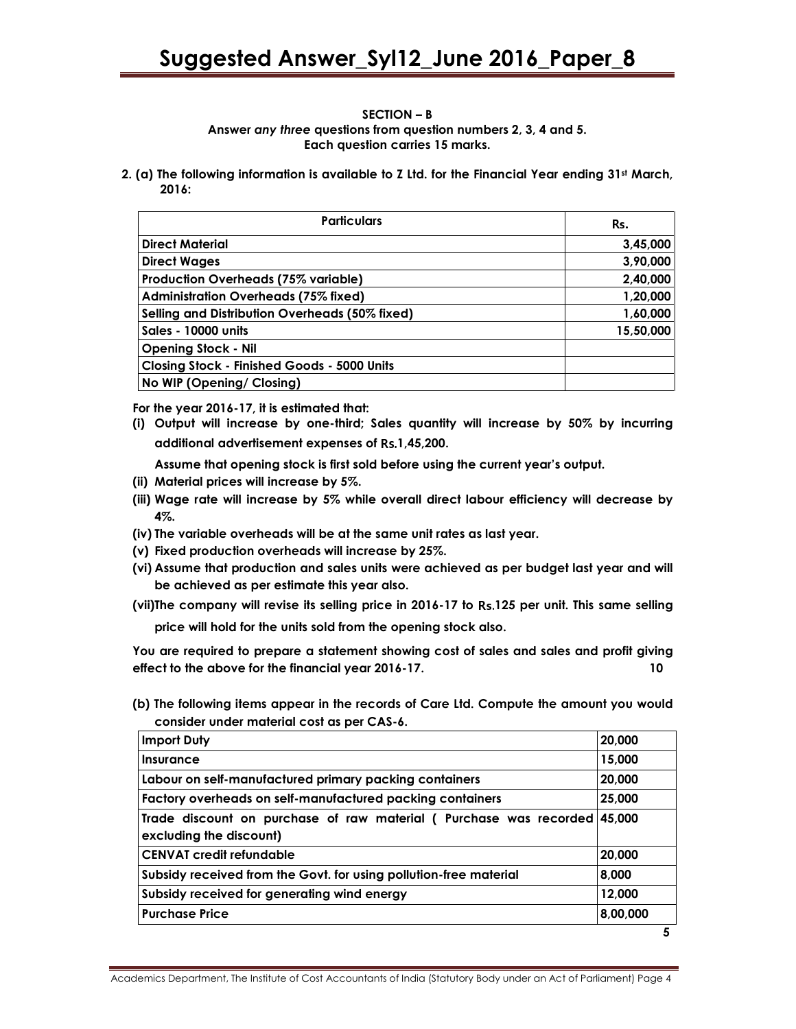### SECTION – B Answer any three questions from question numbers 2, 3, 4 and 5. Each question carries 15 marks.

2. (a) The following information is available to Z Ltd. for the Financial Year ending  $31st$  March, 2016:

| <b>Particulars</b>                                 | Rs.       |
|----------------------------------------------------|-----------|
| <b>Direct Material</b>                             | 3,45,000  |
| <b>Direct Wages</b>                                | 3,90,000  |
| <b>Production Overheads (75% variable)</b>         | 2,40,000  |
| <b>Administration Overheads (75% fixed)</b>        | 1,20,000  |
| Selling and Distribution Overheads (50% fixed)     | 1,60,000  |
| <b>Sales - 10000 units</b>                         | 15,50,000 |
| <b>Opening Stock - Nil</b>                         |           |
| <b>Closing Stock - Finished Goods - 5000 Units</b> |           |
| No WIP (Opening/ Closing)                          |           |

For the year 2016-17, it is estimated that:

(i) Output will increase by one-third; Sales quantity will increase by 50% by incurring additional advertisement expenses of Rs.1,45,200.

Assume that opening stock is first sold before using the current year's output.

- (ii) Material prices will increase by 5%.
- (iii) Wage rate will increase by 5% while overall direct labour efficiency will decrease by 4%.
- (iv) The variable overheads will be at the same unit rates as last year.
- (v) Fixed production overheads will increase by 25%.
- (vi) Assume that production and sales units were achieved as per budget last year and will be achieved as per estimate this year also.
- (vii)The company will revise its selling price in 2016-17 to Rs.125 per unit. This same selling price will hold for the units sold from the opening stock also.

You are required to prepare a statement showing cost of sales and sales and profit giving effect to the above for the financial year 2016-17. 10

(b) The following items appear in the records of Care Ltd. Compute the amount you would consider under material cost as per CAS-6.

| <b>Import Duty</b>                                                                           | 20,000   |
|----------------------------------------------------------------------------------------------|----------|
| Insurance                                                                                    | 15,000   |
| Labour on self-manufactured primary packing containers                                       | 20,000   |
| Factory overheads on self-manufactured packing containers                                    | 25,000   |
| Trade discount on purchase of raw material (Purchase was recorded<br>excluding the discount) | 45,000   |
| CENVAT credit refundable                                                                     | 20,000   |
| Subsidy received from the Govt. for using pollution-free material                            | 8,000    |
| Subsidy received for generating wind energy                                                  | 12,000   |
| <b>Purchase Price</b>                                                                        | 8,00,000 |
|                                                                                              | 5        |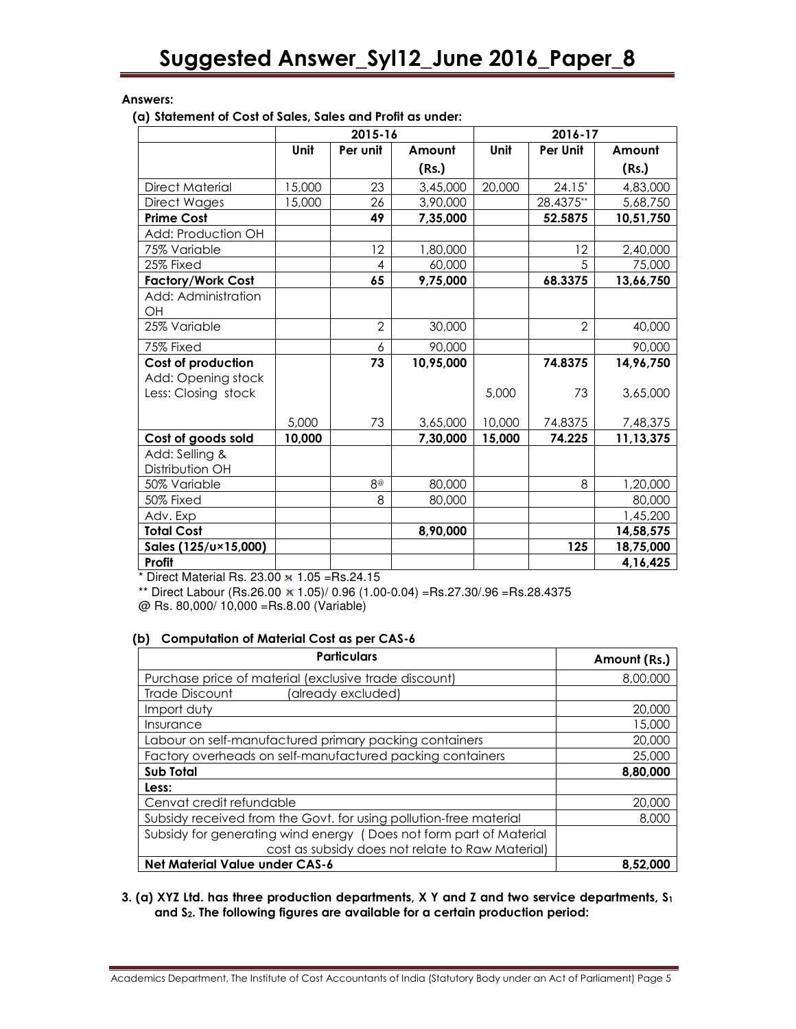### Answers:

(a) Statement of Cost of Sales, Sales and Profit as under:

|                           |        | 2015-16        |           | 2016-17 |                 |           |  |
|---------------------------|--------|----------------|-----------|---------|-----------------|-----------|--|
|                           | Unit   | Per unit       | Amount    | Unit    | <b>Per Unit</b> | Amount    |  |
|                           |        |                | (Rs.)     |         |                 | (Rs.)     |  |
| <b>Direct Material</b>    | 15,000 | 23             | 3,45,000  | 20,000  | $24.15*$        | 4,83,000  |  |
| Direct Wages              | 15,000 | 26             | 3,90,000  |         | 28.4375**       | 5,68,750  |  |
| <b>Prime Cost</b>         |        | 49             | 7,35,000  |         | 52.5875         | 10,51,750 |  |
| Add: Production OH        |        |                |           |         |                 |           |  |
| 75% Variable              |        | 12             | 1,80,000  |         | 12              | 2,40,000  |  |
| 25% Fixed                 |        | 4              | 60,000    |         | .5              | 75,000    |  |
| <b>Factory/Work Cost</b>  |        | 65             | 9,75,000  |         | 68.3375         | 13,66,750 |  |
| Add: Administration<br>OH |        |                |           |         |                 |           |  |
| 25% Variable              |        | $\overline{2}$ | 30,000    |         | $\overline{2}$  | 40,000    |  |
| 75% Fixed                 |        | 6              | 90,000    |         |                 | 90,000    |  |
| <b>Cost of production</b> |        | 73             | 10,95,000 |         | 74.8375         | 14,96,750 |  |
| Add: Opening stock        |        |                |           |         |                 |           |  |
| Less: Closing stock       |        |                |           | 5,000   | 73              | 3,65,000  |  |
|                           | 5,000  | 73             | 3,65,000  | 10,000  | 74.8375         | 7,48,375  |  |
| Cost of goods sold        | 10,000 |                | 7,30,000  | 15,000  | 74.225          | 11,13,375 |  |
| Add: Selling &            |        |                |           |         |                 |           |  |
| Distribution OH           |        |                |           |         |                 |           |  |
| 50% Variable              |        | $8^\circ$      | 80,000    |         | 8               | 1,20,000  |  |
| 50% Fixed                 |        | 8              | 80,000    |         |                 | 80,000    |  |
| Adv. Exp                  |        |                |           |         |                 | 1,45,200  |  |
| <b>Total Cost</b>         |        |                | 8,90,000  |         |                 | 14,58,575 |  |
| Sales (125/u×15,000)      |        |                |           |         | 125             | 18,75,000 |  |
| Profit                    |        |                |           |         |                 | 4,16,425  |  |

 $*$  Direct Material Rs. 23.00  $\times$  1.05 =Rs.24.15

\*\* Direct Labour (Rs.26.00  $\times$  1.05)/ 0.96 (1.00-0.04) =Rs.27.30/.96 =Rs.28.4375 @ Rs. 80,000/ 10,000 =Rs.8.00 (Variable)

### (b) Computation of Material Cost as per CAS-6

| <b>Particulars</b>                                                 | Amount (Rs.) |
|--------------------------------------------------------------------|--------------|
| Purchase price of material (exclusive trade discount)              | 8,00,000     |
| Trade Discount<br>(already excluded)                               |              |
| Import duty                                                        | 20,000       |
| Insurance                                                          | 15,000       |
| Labour on self-manufactured primary packing containers             | 20,000       |
| Factory overheads on self-manufactured packing containers          | 25,000       |
| Sub Total                                                          | 8,80,000     |
| Less:                                                              |              |
| Cenvat credit refundable                                           | 20,000       |
| Subsidy received from the Govt. for using pollution-free material  | 8,000        |
| Subsidy for generating wind energy (Does not form part of Material |              |
| cost as subsidy does not relate to Raw Material)                   |              |
| <b>Net Material Value under CAS-6</b>                              | 8.52.000     |

### 3. (a) XYZ Ltd. has three production departments, X Y and Z and two service departments,  $S_1$ and S2. The following figures are available for a certain production period:

Academics Department, The Institute of Cost Accountants of India (Statutory Body under an Act of Parliament) Page 5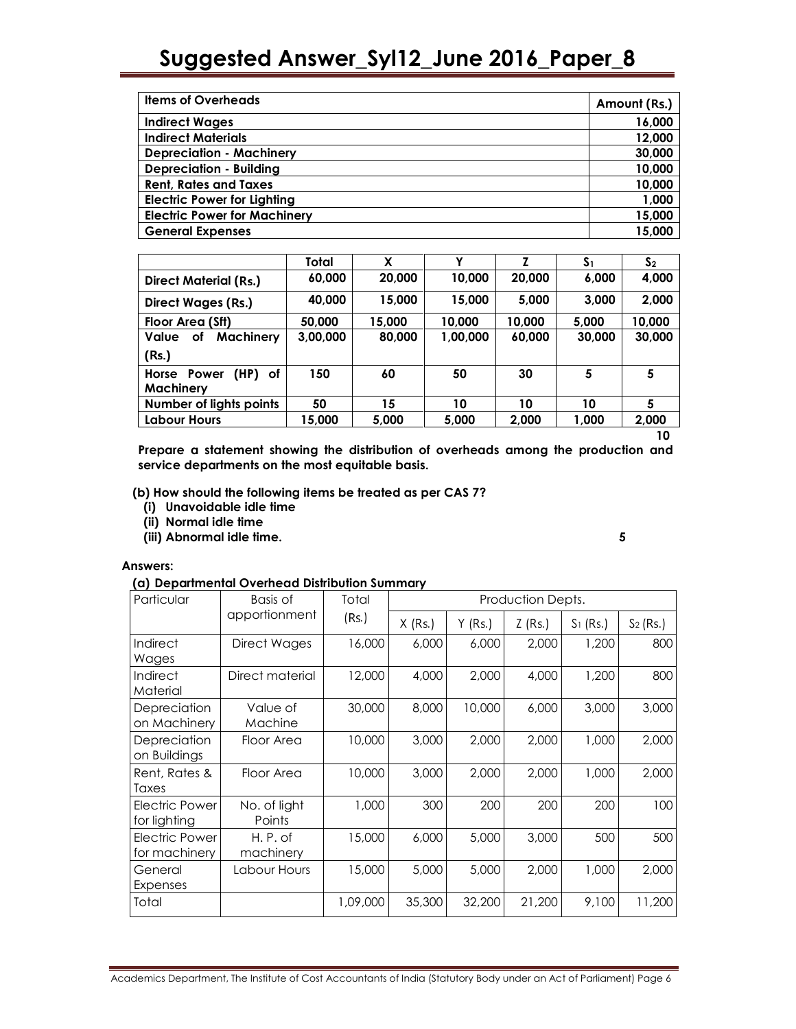| <b>Items of Overheads</b>           | Amount (Rs.) |
|-------------------------------------|--------------|
| <b>Indirect Wages</b>               | 16,000       |
| <b>Indirect Materials</b>           | 12,000       |
| <b>Depreciation - Machinery</b>     | 30,000       |
| <b>Depreciation - Building</b>      | 10,000       |
| <b>Rent, Rates and Taxes</b>        | 10,000       |
| <b>Electric Power for Lighting</b>  | 1,000        |
| <b>Electric Power for Machinery</b> | 15,000       |
| <b>General Expenses</b>             | 15,000       |

|                              | Total    | χ      | v        |        | S <sub>1</sub> | S <sub>2</sub> |
|------------------------------|----------|--------|----------|--------|----------------|----------------|
| <b>Direct Material (Rs.)</b> | 60,000   | 20,000 | 10,000   | 20,000 | 6,000          | 4,000          |
| <b>Direct Wages (Rs.)</b>    | 40,000   | 15,000 | 15,000   | 5,000  | 3,000          | 2,000          |
| Floor Area (Sft)             | 50.000   | 15,000 | 10.000   | 10.000 | 5.000          | 10,000         |
| Machinery<br>Value<br>οf     | 3,00,000 | 80,000 | 1,00,000 | 60,000 | 30,000         | 30,000         |
| (Rs.)                        |          |        |          |        |                |                |
| (HP) of<br>Horse Power       | 150      | 60     | 50       | 30     | 5              | 5              |
| <b>Machinery</b>             |          |        |          |        |                |                |
| Number of lights points      | 50       | 15     | 10       | 10     | 10             | 5              |
| Labour Hours                 | 15,000   | 5,000  | 5,000    | 2,000  | 1,000          | 2,000          |

 $10<sup>10</sup>$ Prepare a statement showing the distribution of overheads among the production and service departments on the most equitable basis.

### (b) How should the following items be treated as per CAS 7?

- (i) Unavoidable idle time
- (ii) Normal idle time
- (iii) Abnormal idle time. 5

### Answers:

### (a) Departmental Overhead Distribution Summary

| Particular                      | Basis of               | Total    | Production Depts. |           |           |             |             |
|---------------------------------|------------------------|----------|-------------------|-----------|-----------|-------------|-------------|
|                                 | apportionment          | (Rs.)    | $X$ (Rs.)         | $Y$ (Rs.) | $Z$ (Rs.) | $S_1$ (Rs.) | $S_2$ (Rs.) |
| Indirect<br>Wages               | Direct Wages           | 16,000   | 6,000             | 6,000     | 2,000     | 1,200       | 800         |
| Indirect<br>Material            | Direct material        | 12,000   | 4,000             | 2,000     | 4,000     | 1,200       | 800         |
| Depreciation<br>on Machinery    | Value of<br>Machine    | 30,000   | 8,000             | 10,000    | 6,000     | 3,000       | 3,000       |
| Depreciation<br>on Buildings    | Floor Area             | 10,000   | 3,000             | 2,000     | 2,000     | 1,000       | 2,000       |
| Rent, Rates &<br>Taxes          | Floor Area             | 10,000   | 3,000             | 2,000     | 2,000     | 1,000       | 2,000       |
| Electric Power<br>for lighting  | No. of light<br>Points | 1,000    | 300               | 200       | 200       | 200         | 100         |
| Electric Power<br>for machinery | H.P. of<br>machinery   | 15,000   | 6,000             | 5,000     | 3,000     | 500         | 500         |
| General<br>Expenses             | Labour Hours           | 15,000   | 5,000             | 5,000     | 2,000     | 1,000       | 2,000       |
| Total                           |                        | 1,09,000 | 35,300            | 32,200    | 21,200    | 9,100       | 11,200      |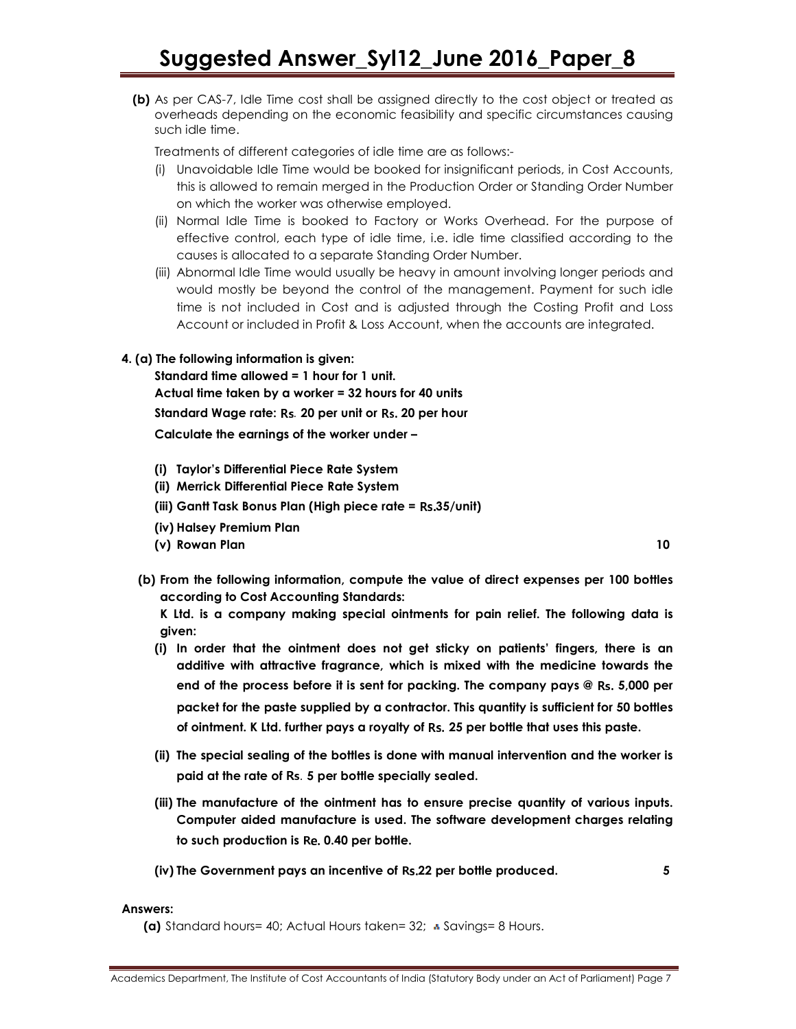(b) As per CAS-7, Idle Time cost shall be assigned directly to the cost object or treated as overheads depending on the economic feasibility and specific circumstances causing such idle time.

Treatments of different categories of idle time are as follows:-

- (i) Unavoidable Idle Time would be booked for insignificant periods, in Cost Accounts, this is allowed to remain merged in the Production Order or Standing Order Number on which the worker was otherwise employed.
- (ii) Normal Idle Time is booked to Factory or Works Overhead. For the purpose of effective control, each type of idle time, i.e. idle time classified according to the causes is allocated to a separate Standing Order Number.
- (iii) Abnormal Idle Time would usually be heavy in amount involving longer periods and would mostly be beyond the control of the management. Payment for such idle time is not included in Cost and is adjusted through the Costing Profit and Loss Account or included in Profit & Loss Account, when the accounts are integrated.

### 4. (a) The following information is given:

 Standard time allowed = 1 hour for 1 unit. Actual time taken by a worker = 32 hours for 40 units Standard Wage rate: Rs. 20 per unit or Rs. 20 per hour Calculate the earnings of the worker under –

- (i) Taylor's Differential Piece Rate System
- (ii) Merrick Differential Piece Rate System
- (iii) Gantt Task Bonus Plan (High piece rate = Rs.35/unit)
- (iv) Halsey Premium Plan
- (v) Rowan Plan 10
- (b) From the following information, compute the value of direct expenses per 100 bottles according to Cost Accounting Standards:

K Ltd. is a company making special ointments for pain relief. The following data is given:

- (i) In order that the ointment does not get sticky on patients' fingers, there is an additive with attractive fragrance, which is mixed with the medicine towards the end of the process before it is sent for packing. The company pays @ Rs. 5,000 per packet for the paste supplied by a contractor. This quantity is sufficient for 50 bottles of ointment. K Ltd. further pays a royalty of Rs. 25 per bottle that uses this paste.
- (ii) The special sealing of the bottles is done with manual intervention and the worker is paid at the rate of Rs. 5 per bottle specially sealed.
- (iii) The manufacture of the ointment has to ensure precise quantity of various inputs. Computer aided manufacture is used. The software development charges relating to such production is Re. 0.40 per bottle.
- (iv) The Government pays an incentive of Rs.22 per bottle produced.  $\qquad \qquad \, 5$

### Answers:

(a) Standard hours= 40; Actual Hours taken=  $32$ ;  $\cdot$  Savings= 8 Hours.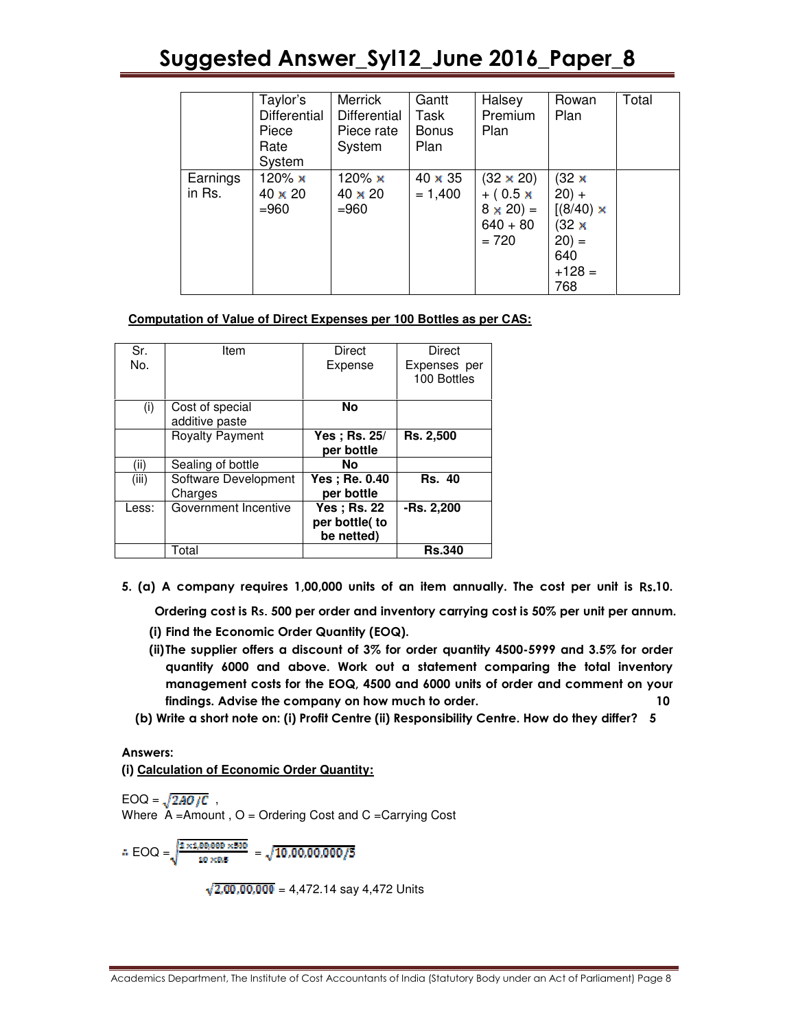|                    | Taylor's<br>Differential<br>Piece<br>Rate<br>System | Merrick<br>Differential<br>Piece rate<br>System | Gantt<br>Task<br><b>Bonus</b><br>Plan | Halsey<br>Premium<br>Plan                                                       | Rowan<br>Plan                                                                             | Total |
|--------------------|-----------------------------------------------------|-------------------------------------------------|---------------------------------------|---------------------------------------------------------------------------------|-------------------------------------------------------------------------------------------|-------|
| Earnings<br>in Rs. | 120% x<br>$40 \times 20$<br>$= 960$                 | 120% $\times$<br>$40 \times 20$<br>$= 960$      | $40 \times 35$<br>$= 1,400$           | $(32 \times 20)$<br>$+ (0.5 \times$<br>$8 \times 20 =$<br>$640 + 80$<br>$= 720$ | (32 x<br>$20) +$<br>$[(8/40) \times$<br>$(32 \times$<br>$(20) =$<br>640<br>$+128=$<br>768 |       |

### **Computation of Value of Direct Expenses per 100 Bottles as per CAS:**

| Sr.<br>No. | Item                              | Direct<br>Expense                                  | Direct<br>Expenses per<br>100 Bottles |
|------------|-----------------------------------|----------------------------------------------------|---------------------------------------|
| (i)        | Cost of special<br>additive paste | <b>No</b>                                          |                                       |
|            | <b>Royalty Payment</b>            | Yes; Rs. 25/<br>per bottle                         | <b>Rs. 2,500</b>                      |
| (ii)       | Sealing of bottle                 | Νo                                                 |                                       |
| (iii)      | Software Development<br>Charges   | <b>Yes: Re. 0.40</b><br>per bottle                 | <b>Rs. 40</b>                         |
| Less:      | Government Incentive              | <b>Yes</b> ; Rs. 22<br>per bottle(to<br>be netted) | -Rs. 2,200                            |
|            | Total                             |                                                    | <b>Rs.340</b>                         |

5. (a) A company requires 1,00,000 units of an item annually. The cost per unit is Rs.10.

Ordering cost is Rs. 500 per order and inventory carrying cost is 50% per unit per annum.

- (i) Find the Economic Order Quantity (EOQ).
- (ii) The supplier offers a discount of 3% for order quantity 4500-5999 and 3.5% for order quantity 6000 and above. Work out a statement comparing the total inventory management costs for the EOQ, 4500 and 6000 units of order and comment on your findings. Advise the company on how much to order. 10
- (b) Write a short note on: (i) Profit Centre (ii) Responsibility Centre. How do they differ? 5

### Answers:

(i) **Calculation of Economic Order Quantity:** 

 $EOQ = \sqrt{2AO/C}$ , Where A =Amount , O = Ordering Cost and C =Carrying Cost

 $\therefore \text{EOQ} = \sqrt{\frac{2 \times 1,00,000 \times 500}{10 \times 0.5}} = \sqrt{10,00,00,000/5}$ 

 $\sqrt{2,00,00,000}$  = 4,472.14 say 4,472 Units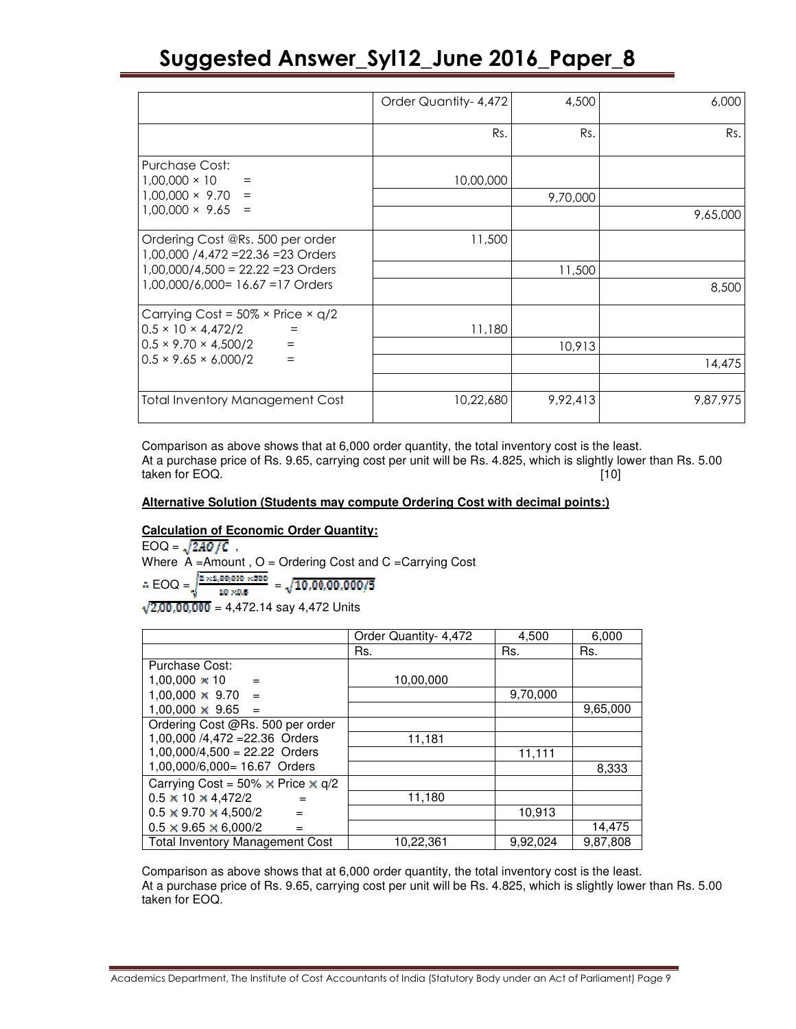|                                                                                               | Order Quantity-4,472 | 4,500    | 6,000    |
|-----------------------------------------------------------------------------------------------|----------------------|----------|----------|
|                                                                                               | Rs.                  | Rs.      | Rs.      |
| Purchase Cost:<br>$1,00,000 \times 10$<br>$=$                                                 | 10,00,000            |          |          |
| $1,00,000 \times 9.70$<br>$=$                                                                 |                      | 9,70,000 |          |
| $1,00,000 \times 9.65 =$                                                                      |                      |          | 9,65,000 |
| Ordering Cost @Rs. 500 per order<br>1,00,000 /4,472 = 22.36 = 23 Orders                       | 11,500               |          |          |
| $1,00,000/4,500 = 22.22 = 23$ Orders                                                          |                      | 11,500   |          |
| 1,00,000/6,000= 16.67 = 17 Orders                                                             |                      |          | 8,500    |
| Carrying Cost = $50\% \times$ Price $\times$ q/2<br>$0.5 \times 10 \times 4,472/2$            |                      |          |          |
| $\qquad \qquad =\qquad \qquad$<br>$0.5 \times 9.70 \times 4.500/2$<br>$\sim$ $\sim$ $\approx$ | 11,180               | 10,913   |          |
| $0.5 \times 9.65 \times 6,000/2$<br>$=$                                                       |                      |          | 14,475   |
|                                                                                               |                      |          |          |
| <b>Total Inventory Management Cost</b>                                                        | 10,22,680            | 9,92,413 | 9,87,975 |

Comparison as above shows that at 6,000 order quantity, the total inventory cost is the least. At a purchase price of Rs. 9.65, carrying cost per unit will be Rs. 4.825, which is slightly lower than Rs. 5.00 taken for EOQ. [10]

### **Alternative Solution (Students may compute Ordering Cost with decimal points:)**

### **Calculation of Economic Order Quantity:**

 $EOQ = \sqrt{2AO/C}$ , Where  $A =$ Amount,  $O =$ Ordering Cost and  $C =$ Carrying Cost  $\therefore \, \text{EOQ} = \sqrt{\frac{2 \times 1,00,000 \times 500}{10 \times 0.5}} \, = \sqrt{10,00,00,000/5}$  $\sqrt{2,00,00,000}$  = 4,472.14 say 4,472 Units

|                                                 | Order Quantity- 4,472 | 4,500    | 6,000    |
|-------------------------------------------------|-----------------------|----------|----------|
|                                                 | Rs.                   | Rs.      | Rs.      |
| Purchase Cost:                                  |                       |          |          |
| $1,00,000 \times 10$<br>$=$                     | 10,00,000             |          |          |
| $1,00,000 \times 9.70$<br>$=$                   |                       | 9,70,000 |          |
| $1,00,000 \times 9.65$<br>$=$                   |                       |          | 9,65,000 |
| Ordering Cost @Rs. 500 per order                |                       |          |          |
| 1,00,000 /4,472 = 22.36 Orders                  | 11,181                |          |          |
| $1,00,000/4,500 = 22.22$ Orders                 |                       | 11,111   |          |
| 1,00,000/6,000= 16.67 Orders                    |                       |          | 8,333    |
| Carrying Cost = 50% $\times$ Price $\times$ q/2 |                       |          |          |
| $0.5 \times 10 \times 4,472/2$<br>$=$           | 11,180                |          |          |
| $0.5 \times 9.70 \times 4,500/2$<br>$=$         |                       | 10,913   |          |
| $0.5 \times 9.65 \times 6,000/2$                |                       |          | 14,475   |
| <b>Total Inventory Management Cost</b>          | 10,22,361             | 9,92,024 | 9,87,808 |

Comparison as above shows that at 6,000 order quantity, the total inventory cost is the least. At a purchase price of Rs. 9.65, carrying cost per unit will be Rs. 4.825, which is slightly lower than Rs. 5.00 taken for EOQ.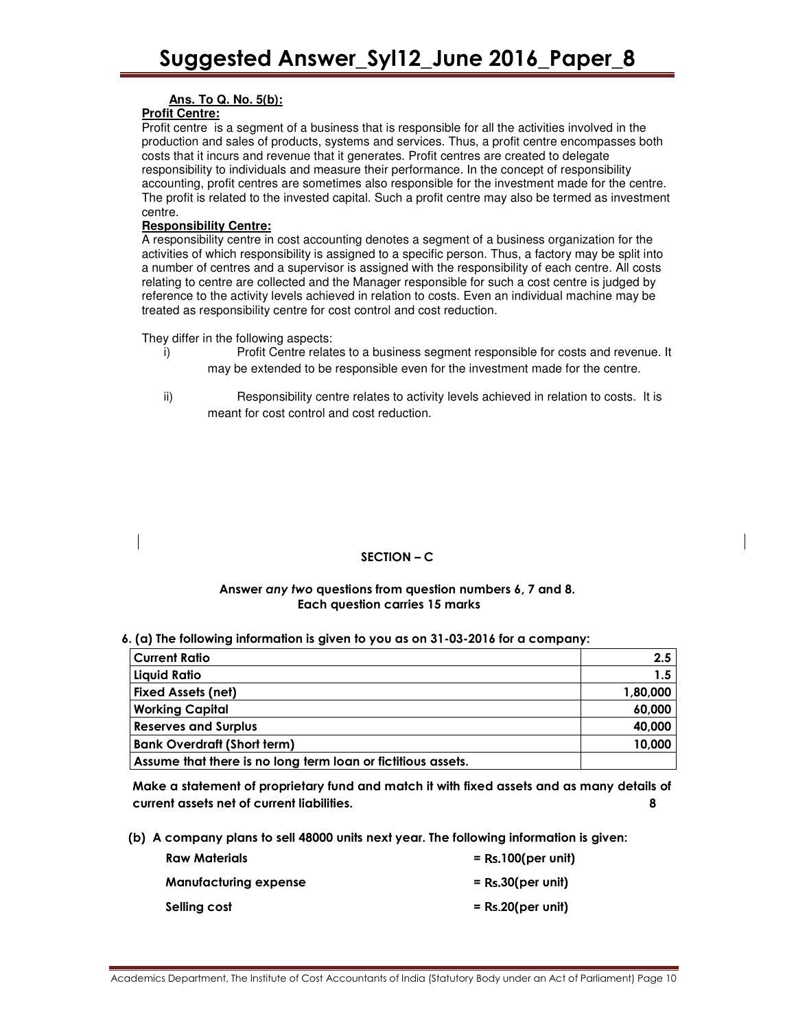### **Ans. To Q. No. 5(b):**

### **Profit Centre:**

Profit centre is a segment of a business that is responsible for all the activities involved in the production and sales of products, systems and services. Thus, a profit centre encompasses both costs that it incurs and revenue that it generates. Profit centres are created to delegate responsibility to individuals and measure their performance. In the concept of responsibility accounting, profit centres are sometimes also responsible for the investment made for the centre. The profit is related to the invested capital. Such a profit centre may also be termed as investment centre.

### **Responsibility Centre:**

A responsibility centre in cost accounting denotes a segment of a business organization for the activities of which responsibility is assigned to a specific person. Thus, a factory may be split into a number of centres and a supervisor is assigned with the responsibility of each centre. All costs relating to centre are collected and the Manager responsible for such a cost centre is judged by reference to the activity levels achieved in relation to costs. Even an individual machine may be treated as responsibility centre for cost control and cost reduction.

They differ in the following aspects:

- i) Profit Centre relates to a business segment responsible for costs and revenue. It may be extended to be responsible even for the investment made for the centre.
- ii) Responsibility centre relates to activity levels achieved in relation to costs. It is meant for cost control and cost reduction.

### SECTION – C

### Answer any two questions from question numbers 6, 7 and 8. Each question carries 15 marks

### 6. (a) The following information is given to you as on 31-03-2016 for a company:

| <b>Current Ratio</b>                                         | 2.5      |
|--------------------------------------------------------------|----------|
| Liquid Ratio                                                 | 1.5      |
| <b>Fixed Assets (net)</b>                                    | 1,80,000 |
| <b>Working Capital</b>                                       | 60,000   |
| <b>Reserves and Surplus</b>                                  | 40,000   |
| <b>Bank Overdraft (Short term)</b>                           | 10,000   |
| Assume that there is no long term loan or fictitious assets. |          |

Make a statement of proprietary fund and match it with fixed assets and as many details of current assets net of current liabilities. 8

(b) A company plans to sell 48000 units next year. The following information is given:

| <b>Raw Materials</b>         | $=$ Rs.100(per unit) |
|------------------------------|----------------------|
| <b>Manufacturing expense</b> | $=$ Rs.30(per unit)  |
| Selling cost                 | $=$ Rs.20(per unit)  |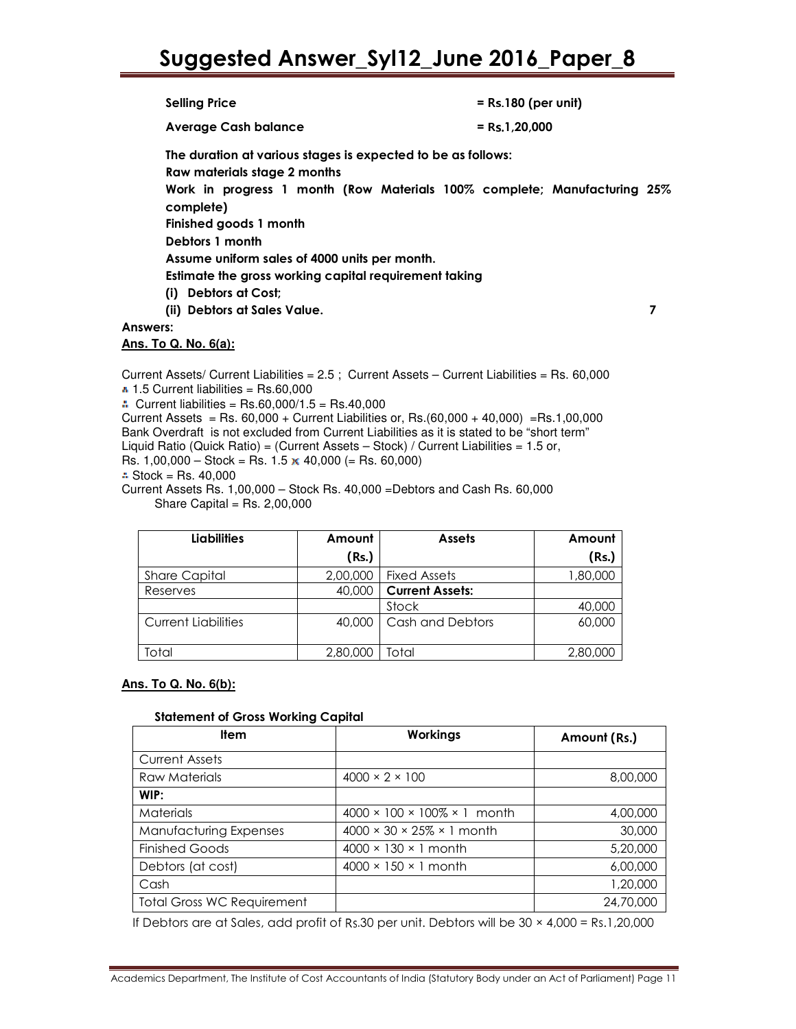| <b>Selling Price</b>                                                                         | $=$ Rs.180 (per unit)                                                    |
|----------------------------------------------------------------------------------------------|--------------------------------------------------------------------------|
| <b>Average Cash balance</b>                                                                  | $=$ Rs.1,20,000                                                          |
| The duration at various stages is expected to be as follows:<br>Raw materials stage 2 months |                                                                          |
| complete)                                                                                    | Work in progress 1 month (Row Materials 100% complete; Manufacturing 25% |
| Finished goods 1 month                                                                       |                                                                          |
| Debtors 1 month                                                                              |                                                                          |
| Assume uniform sales of 4000 units per month.                                                |                                                                          |
| Estimate the gross working capital requirement taking                                        |                                                                          |
| (i) Debtors at Cost;                                                                         |                                                                          |
| (ii) Debtors at Sales Value.                                                                 |                                                                          |
| Answers:                                                                                     |                                                                          |
| <u>Ans. To Q. No. 6(a):</u>                                                                  |                                                                          |
|                                                                                              |                                                                          |

Current Assets/ Current Liabilities = 2.5 ; Current Assets – Current Liabilities = Rs. 60,000  $\cdot$  1.5 Current liabilities = Rs.60,000  $\therefore$  Current liabilities = Rs.60,000/1.5 = Rs.40,000 Current Assets = Rs.  $60,000 +$  Current Liabilities or, Rs. $(60,000 + 40,000) =$ Rs.1,00,000 Bank Overdraft is not excluded from Current Liabilities as it is stated to be "short term"

- Liquid Ratio (Quick Ratio) = (Current Assets Stock) / Current Liabilities = 1.5 or,
- Rs.  $1,00,000 -$  Stock = Rs.  $1.5 \times 40,000 (=$  Rs. 60,000)
- $\therefore$  Stock = Rs. 40,000
- Current Assets Rs. 1,00,000 Stock Rs. 40,000 =Debtors and Cash Rs. 60,000 Share Capital =  $Rs. 2,00,000$

| <b>Liabilities</b>         | Amount   | <b>Assets</b>          | Amount   |
|----------------------------|----------|------------------------|----------|
|                            | (Rs.)    |                        | (Rs.)    |
| <b>Share Capital</b>       | 2,00,000 | <b>Fixed Assets</b>    | 000,08,1 |
| Reserves                   | 40,000   | <b>Current Assets:</b> |          |
|                            |          | Stock                  | 40,000   |
| <b>Current Liabilities</b> | 40,000   | Cash and Debtors       | 60,000   |
| Total                      | 2,80,000 | Total                  | 2,80,000 |

### **Ans. To Q. No. 6(b):**

### Statement of Gross Working Capital

| Item                              | Workings                                      | Amount (Rs.) |
|-----------------------------------|-----------------------------------------------|--------------|
| <b>Current Assets</b>             |                                               |              |
| Raw Materials                     | $4000 \times 2 \times 100$                    | 8,00,000     |
| WIP:                              |                                               |              |
| <b>Materials</b>                  | $4000 \times 100 \times 100\% \times 1$ month | 4,00,000     |
| Manufacturing Expenses            | $4000 \times 30 \times 25\% \times 1$ month   | 30,000       |
| <b>Finished Goods</b>             | $4000 \times 130 \times 1$ month              | 5,20,000     |
| Debtors (at cost)                 | $4000 \times 150 \times 1$ month              | 6,00,000     |
| Cash                              |                                               | 1,20,000     |
| <b>Total Gross WC Requirement</b> |                                               | 24,70,000    |

If Debtors are at Sales, add profit of Rs.30 per unit. Debtors will be  $30 \times 4,000 = \text{Rs}.1,20,000$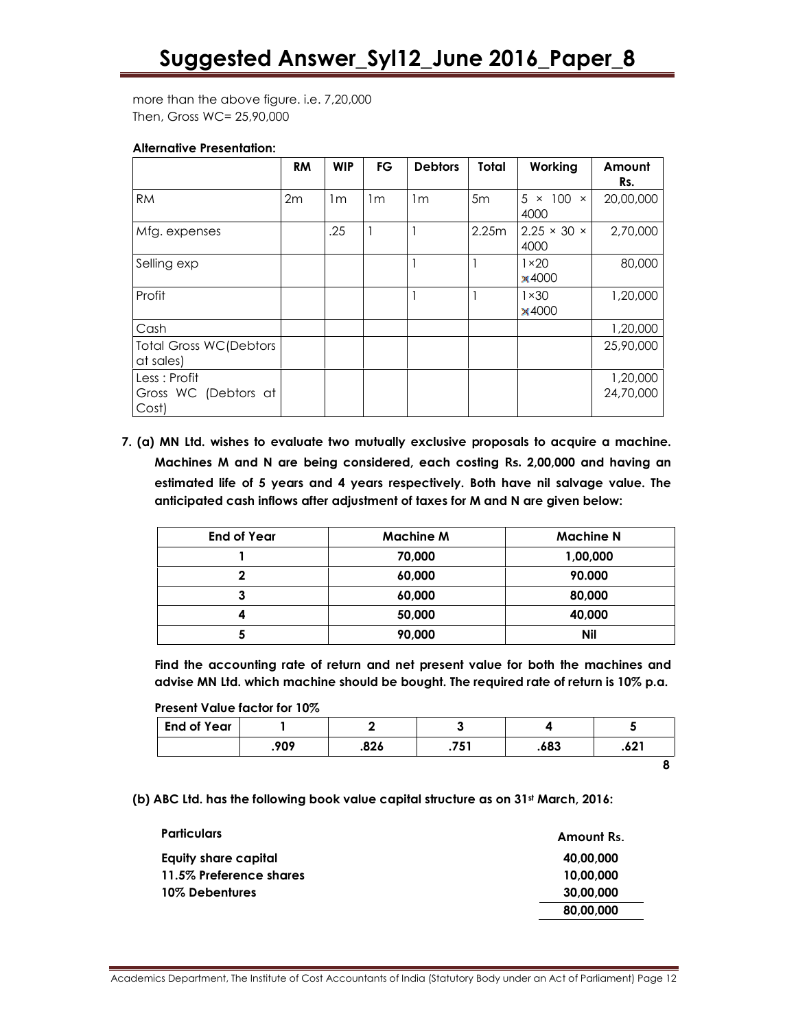more than the above figure. i.e. 7,20,000 Then, Gross WC= 25,90,000

### Alternative Presentation:

|                                                | <b>RM</b> | <b>WIP</b>     | FG             | <b>Debtors</b> | Total | Working                                | Amount<br>Rs.         |
|------------------------------------------------|-----------|----------------|----------------|----------------|-------|----------------------------------------|-----------------------|
| <b>RM</b>                                      | 2m        | 1 <sub>m</sub> | 1 <sub>m</sub> | 1m             | 5m    | $\times$ 100<br>5.<br>$\times$<br>4000 | 20,00,000             |
| Mfg. expenses                                  |           | .25            |                |                | 2.25m | $2.25 \times 30 \times$<br>4000        | 2,70,000              |
| Selling exp                                    |           |                |                |                |       | $1 \times 20$<br>×4000                 | 80,000                |
| Profit                                         |           |                |                |                |       | $1 \times 30$<br>×4000                 | 1,20,000              |
| Cash                                           |           |                |                |                |       |                                        | 1,20,000              |
| <b>Total Gross WC(Debtors</b><br>at sales)     |           |                |                |                |       |                                        | 25,90,000             |
| Less : Profit<br>Gross WC (Debtors at<br>Cost) |           |                |                |                |       |                                        | 1,20,000<br>24,70,000 |

7. (a) MN Ltd. wishes to evaluate two mutually exclusive proposals to acquire a machine. Machines M and N are being considered, each costing Rs. 2,00,000 and having an estimated life of 5 years and 4 years respectively. Both have nil salvage value. The anticipated cash inflows after adjustment of taxes for M and N are given below:

| <b>End of Year</b> | <b>Machine M</b> | <b>Machine N</b> |
|--------------------|------------------|------------------|
|                    | 70,000           | 1,00,000         |
|                    | 60,000           | 90.000           |
| J                  | 60,000           | 80,000           |
|                    | 50,000           | 40,000           |
|                    | 90,000           | <b>Nil</b>       |

 Find the accounting rate of return and net present value for both the machines and advise MN Ltd. which machine should be bought. The required rate of return is 10% p.a.

Present Value factor for 10%

| <b>End of Year</b> |      |      |      |      |      |
|--------------------|------|------|------|------|------|
|                    | .909 | .826 | .751 | .683 | .621 |
|                    |      |      |      |      |      |

(b) ABC Ltd. has the following book value capital structure as on 31st March, 2016:

| <b>Particulars</b>      | Amount Rs. |
|-------------------------|------------|
| Equity share capital    | 40.00.000  |
| 11.5% Preference shares | 10,00,000  |
| 10% Debentures          | 30.00.000  |
|                         | 80.00.000  |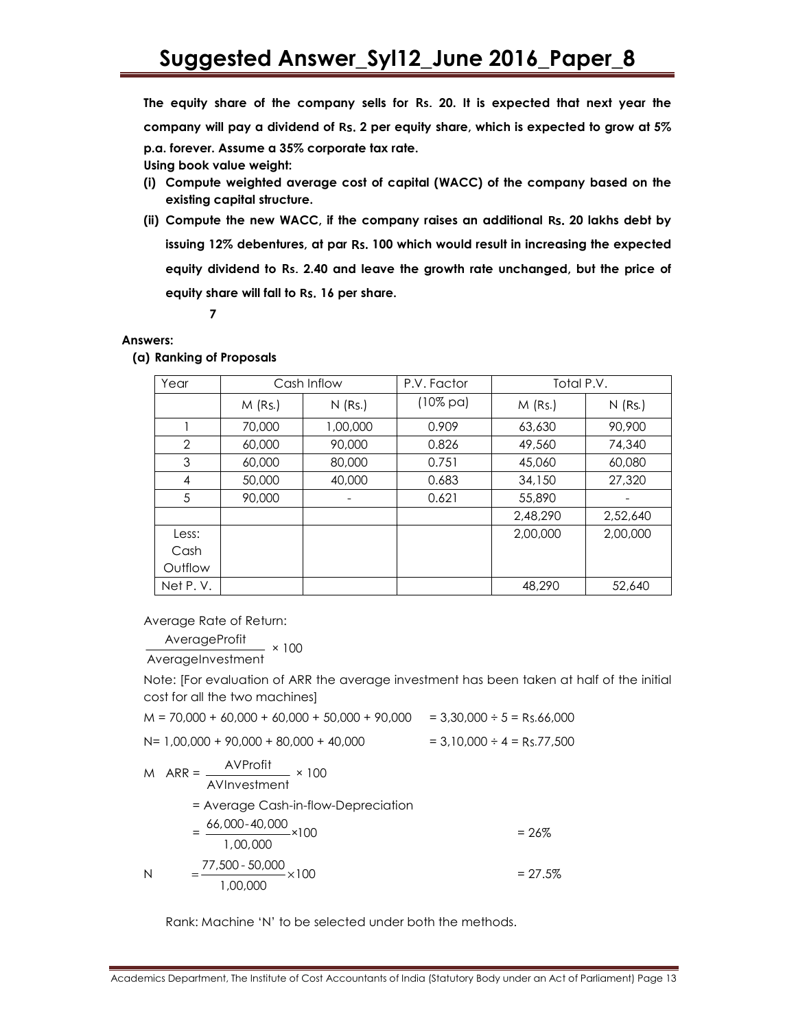The equity share of the company sells for Rs. 20. It is expected that next year the company will pay a dividend of Rs. 2 per equity share, which is expected to grow at 5% p.a. forever. Assume a 35% corporate tax rate.

Using book value weight:

- (i) Compute weighted average cost of capital (WACC) of the company based on the existing capital structure.
- (ii) Compute the new WACC, if the company raises an additional Rs. 20 lakhs debt by issuing 12% debentures, at par Rs. 100 which would result in increasing the expected equity dividend to Rs. 2.40 and leave the growth rate unchanged, but the price of equity share will fall to Rs. 16 per share.

7

### Answers:

(a) Ranking of Proposals

| Year           | Cash Inflow |           | P.V. Factor         | Total P.V. |           |
|----------------|-------------|-----------|---------------------|------------|-----------|
|                | $M$ (Rs.)   | $N$ (Rs.) | $(10\% \text{ pa})$ | $M$ (Rs.)  | $N$ (Rs.) |
|                | 70,000      | 1,00,000  | 0.909               | 63,630     | 90,900    |
| $\overline{2}$ | 60,000      | 90,000    | 0.826               | 49,560     | 74,340    |
| 3              | 60,000      | 80,000    | 0.751               | 45,060     | 60,080    |
| $\overline{4}$ | 50,000      | 40,000    | 0.683               | 34,150     | 27,320    |
| 5              | 90,000      |           | 0.621               | 55,890     |           |
|                |             |           |                     | 2,48,290   | 2,52,640  |
| Less:          |             |           |                     | 2,00,000   | 2,00,000  |
| Cash           |             |           |                     |            |           |
| Outflow        |             |           |                     |            |           |
| Net P.V.       |             |           |                     | 48,290     | 52,640    |

Average Rate of Return:

AverageProfit × 100 AverageInvestment

 Note: [For evaluation of ARR the average investment has been taken at half of the initial cost for all the two machines]

 $M = 70,000 + 60,000 + 60,000 + 50,000 + 90,000 = 3,30,000 \div 5 = \text{Rs}.66,000$ 

 $N= 1,00,000 + 90,000 + 80,000 + 40,000$ 

 $= 3,10,000 \div 4 = \text{Rs } 77,500$ 

 $M$  ARR =  $\frac{AVProfit}{AVЙ}$ AVInvestment × 100 = Average Cash-in-flow-Depreciation  $=\frac{66,000-40,000}{\sqrt{100}} \times 100$ 1,00,000  $= 26\%$  N 100 1,00,000  $=\frac{77,500 - 50,000}{27.5\%} \times 100$  = 27.5%

Rank: Machine 'N' to be selected under both the methods.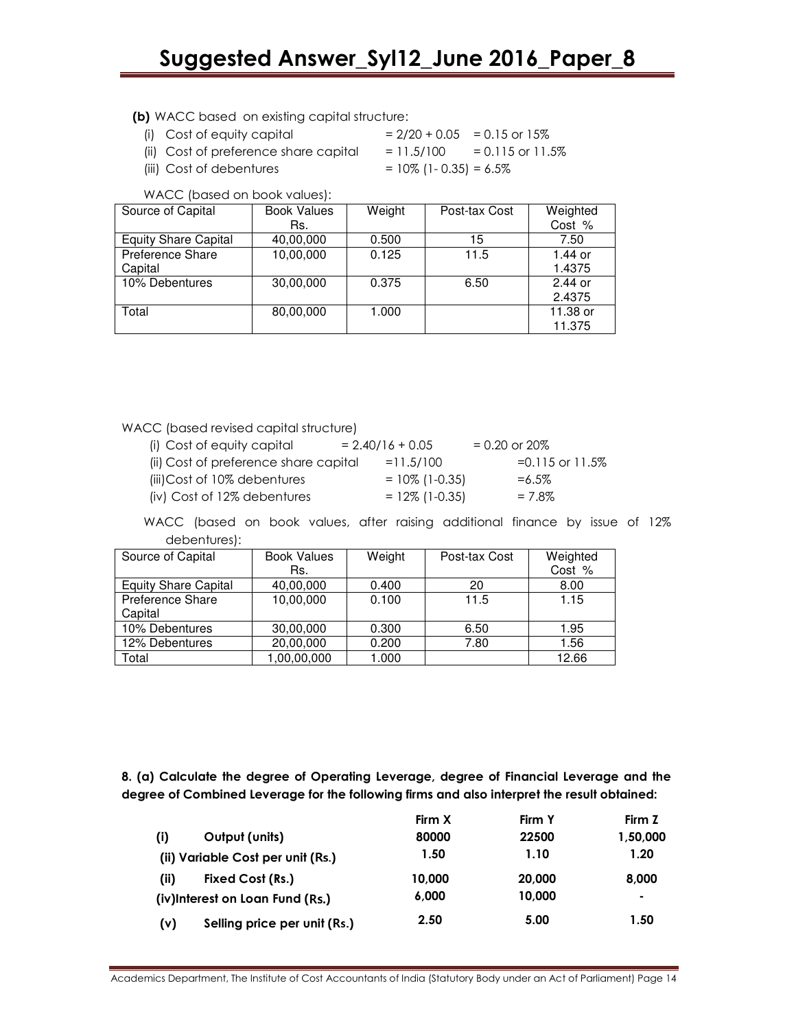(b) WACC based on existing capital structure:

- (i) Cost of equity capital  $= 2/20 + 0.05 = 0.15$  or 15%
- 
- (ii) Cost of preference share capital  $= 11.5/100 = 0.115$  or  $11.5\%$
- (iii) Cost of debentures  $= 10\%$  (1-0.35) = 6.5%

WACC (based on book values):

| Source of Capital           | <b>Book Values</b> | Weight | Post-tax Cost | Weighted |
|-----------------------------|--------------------|--------|---------------|----------|
|                             | Rs.                |        |               | Cost %   |
| <b>Equity Share Capital</b> | 40,00,000          | 0.500  | 15            | 7.50     |
| Preference Share            | 10,00,000          | 0.125  | 11.5          | 1.44 or  |
| Capital                     |                    |        |               | 1.4375   |
| 10% Debentures              | 30,00,000          | 0.375  | 6.50          | 2.44 or  |
|                             |                    |        |               | 2.4375   |
| Total                       | 80,00,000          | 1.000  |               | 11.38 or |
|                             |                    |        |               | 11.375   |

WACC (based revised capital structure)

| (i) Cost of equity capital            | $= 2.40/16 + 0.05$ | $= 0.20$ or 20%      |
|---------------------------------------|--------------------|----------------------|
| (ii) Cost of preference share capital | $= 11.5/100$       | $=0.115$ or $11.5\%$ |
| (iii) Cost of 10% debentures          | $= 10\%$ (1-0.35)  | $= 6.5\%$            |
| (iv) Cost of 12% debentures           | $= 12\%$ (1-0.35)  | $= 7.8\%$            |

WACC (based on book values, after raising additional finance by issue of 12% debentures):

| Source of Capital           | <b>Book Values</b> | Weight | Post-tax Cost | Weighted |
|-----------------------------|--------------------|--------|---------------|----------|
|                             | Rs.                |        |               | Cost %   |
| <b>Equity Share Capital</b> | 40,00,000          | 0.400  | 20            | 8.00     |
| Preference Share            | 10,00,000          | 0.100  | 11.5          | 1.15     |
| Capital                     |                    |        |               |          |
| 10% Debentures              | 30,00,000          | 0.300  | 6.50          | 1.95     |
| 12% Debentures              | 20,00,000          | 0.200  | 7.80          | 1.56     |
| Total                       | 1,00,00,000        | 1.000  |               | 12.66    |

8. (a) Calculate the degree of Operating Leverage, degree of Financial Leverage and the degree of Combined Leverage for the following firms and also interpret the result obtained:

|                                     | Firm X | Firm Y | Firm Z   |
|-------------------------------------|--------|--------|----------|
| (i)<br>Output (units)               | 80000  | 22500  | 1,50,000 |
| (ii) Variable Cost per unit (Rs.)   | 1.50   | 1.10   | 1.20     |
| (iii)<br>Fixed Cost (Rs.)           | 10,000 | 20,000 | 8.000    |
| (iv)Interest on Loan Fund (Rs.)     | 6,000  | 10,000 | ۰        |
| Selling price per unit (Rs.)<br>(v) | 2.50   | 5.00   | 1.50     |

Academics Department, The Institute of Cost Accountants of India (Statutory Body under an Act of Parliament) Page 14